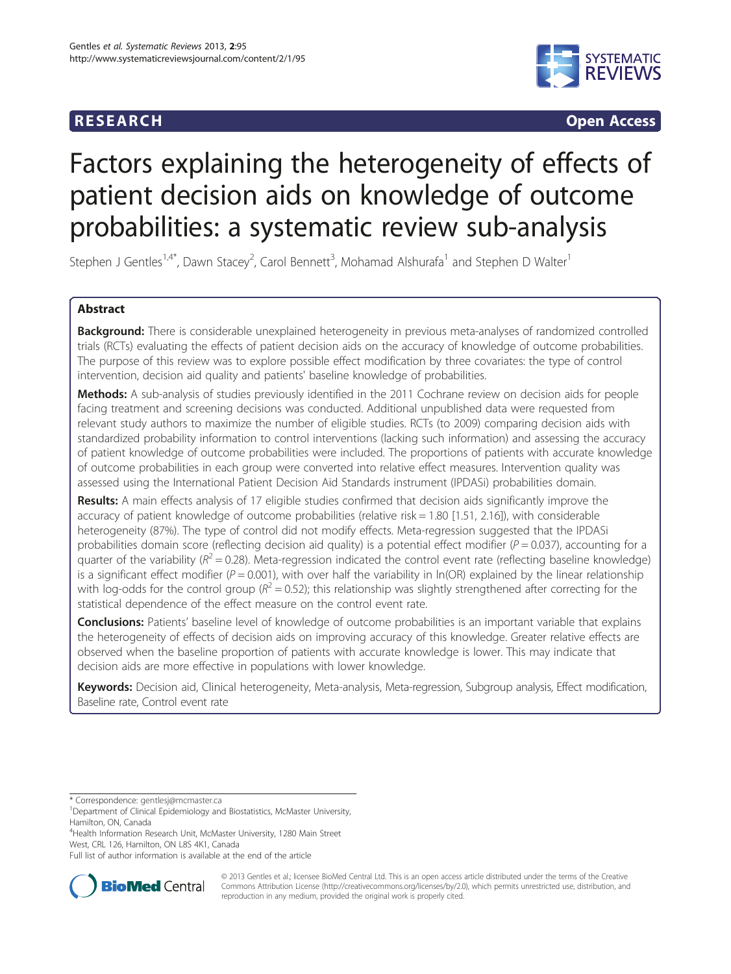

**RESEARCH CHINESEARCH CHINESEARCH CHINESE** 

# Factors explaining the heterogeneity of effects of patient decision aids on knowledge of outcome probabilities: a systematic review sub-analysis

Stephen J Gentles<sup>1,4\*</sup>, Dawn Stacey<sup>2</sup>, Carol Bennett<sup>3</sup>, Mohamad Alshurafa<sup>1</sup> and Stephen D Walter<sup>1</sup>

# Abstract

Background: There is considerable unexplained heterogeneity in previous meta-analyses of randomized controlled trials (RCTs) evaluating the effects of patient decision aids on the accuracy of knowledge of outcome probabilities. The purpose of this review was to explore possible effect modification by three covariates: the type of control intervention, decision aid quality and patients' baseline knowledge of probabilities.

Methods: A sub-analysis of studies previously identified in the 2011 Cochrane review on decision aids for people facing treatment and screening decisions was conducted. Additional unpublished data were requested from relevant study authors to maximize the number of eligible studies. RCTs (to 2009) comparing decision aids with standardized probability information to control interventions (lacking such information) and assessing the accuracy of patient knowledge of outcome probabilities were included. The proportions of patients with accurate knowledge of outcome probabilities in each group were converted into relative effect measures. Intervention quality was assessed using the International Patient Decision Aid Standards instrument (IPDASi) probabilities domain.

Results: A main effects analysis of 17 eligible studies confirmed that decision aids significantly improve the accuracy of patient knowledge of outcome probabilities (relative risk = 1.80 [1.51, 2.16]), with considerable heterogeneity (87%). The type of control did not modify effects. Meta-regression suggested that the IPDASi probabilities domain score (reflecting decision aid quality) is a potential effect modifier ( $P = 0.037$ ), accounting for a quarter of the variability ( $R^2 = 0.28$ ). Meta-regression indicated the control event rate (reflecting baseline knowledge) is a significant effect modifier ( $P = 0.001$ ), with over half the variability in ln(OR) explained by the linear relationship with log-odds for the control group ( $R^2$  = 0.52); this relationship was slightly strengthened after correcting for the statistical dependence of the effect measure on the control event rate.

Conclusions: Patients' baseline level of knowledge of outcome probabilities is an important variable that explains the heterogeneity of effects of decision aids on improving accuracy of this knowledge. Greater relative effects are observed when the baseline proportion of patients with accurate knowledge is lower. This may indicate that decision aids are more effective in populations with lower knowledge.

Keywords: Decision aid, Clinical heterogeneity, Meta-analysis, Meta-regression, Subgroup analysis, Effect modification, Baseline rate, Control event rate

4 Health Information Research Unit, McMaster University, 1280 Main Street West, CRL 126, Hamilton, ON L8S 4K1, Canada

Full list of author information is available at the end of the article



© 2013 Gentles et al.; licensee BioMed Central Ltd. This is an open access article distributed under the terms of the Creative Commons Attribution License [\(http://creativecommons.org/licenses/by/2.0\)](http://creativecommons.org/licenses/by/2.0), which permits unrestricted use, distribution, and reproduction in any medium, provided the original work is properly cited.

<sup>\*</sup> Correspondence: [gentlesj@mcmaster.ca](mailto:gentlesj@mcmaster.ca) <sup>1</sup>

<sup>&</sup>lt;sup>1</sup>Department of Clinical Epidemiology and Biostatistics, McMaster University, Hamilton, ON, Canada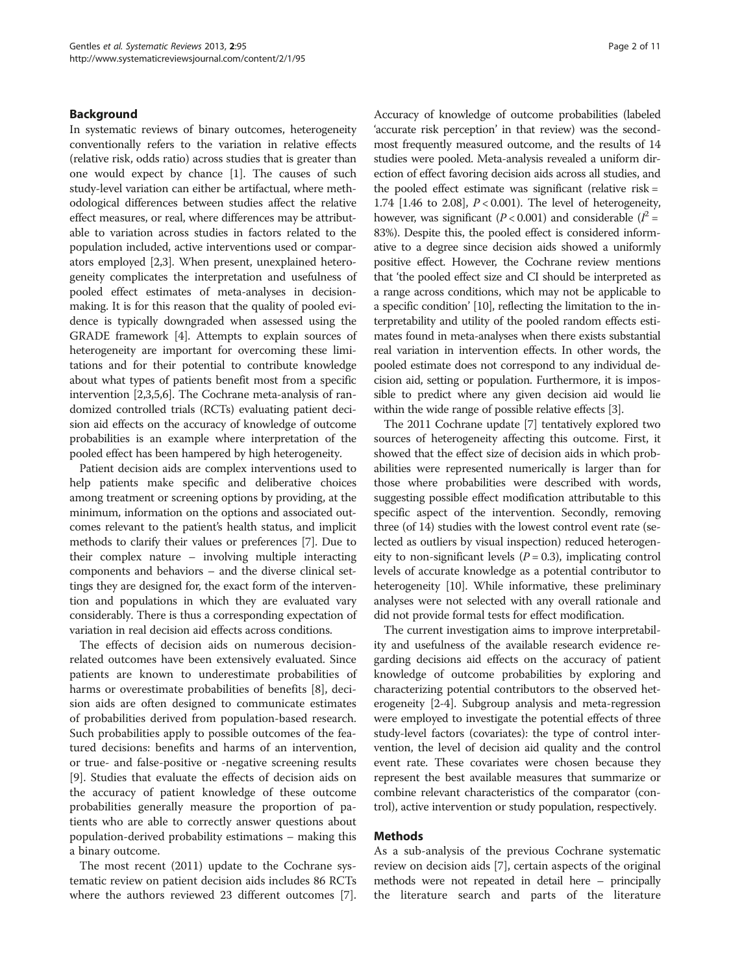# <span id="page-1-0"></span>Background

In systematic reviews of binary outcomes, heterogeneity conventionally refers to the variation in relative effects (relative risk, odds ratio) across studies that is greater than one would expect by chance [\[1](#page-9-0)]. The causes of such study-level variation can either be artifactual, where methodological differences between studies affect the relative effect measures, or real, where differences may be attributable to variation across studies in factors related to the population included, active interventions used or comparators employed [\[2,3](#page-9-0)]. When present, unexplained heterogeneity complicates the interpretation and usefulness of pooled effect estimates of meta-analyses in decisionmaking. It is for this reason that the quality of pooled evidence is typically downgraded when assessed using the GRADE framework [\[4](#page-9-0)]. Attempts to explain sources of heterogeneity are important for overcoming these limitations and for their potential to contribute knowledge about what types of patients benefit most from a specific intervention [[2,3](#page-9-0),[5,6](#page-9-0)]. The Cochrane meta-analysis of randomized controlled trials (RCTs) evaluating patient decision aid effects on the accuracy of knowledge of outcome probabilities is an example where interpretation of the pooled effect has been hampered by high heterogeneity.

Patient decision aids are complex interventions used to help patients make specific and deliberative choices among treatment or screening options by providing, at the minimum, information on the options and associated outcomes relevant to the patient's health status, and implicit methods to clarify their values or preferences [[7\]](#page-9-0). Due to their complex nature – involving multiple interacting components and behaviors – and the diverse clinical settings they are designed for, the exact form of the intervention and populations in which they are evaluated vary considerably. There is thus a corresponding expectation of variation in real decision aid effects across conditions.

The effects of decision aids on numerous decisionrelated outcomes have been extensively evaluated. Since patients are known to underestimate probabilities of harms or overestimate probabilities of benefits [[8\]](#page-9-0), decision aids are often designed to communicate estimates of probabilities derived from population-based research. Such probabilities apply to possible outcomes of the featured decisions: benefits and harms of an intervention, or true- and false-positive or -negative screening results [[9\]](#page-9-0). Studies that evaluate the effects of decision aids on the accuracy of patient knowledge of these outcome probabilities generally measure the proportion of patients who are able to correctly answer questions about population-derived probability estimations – making this a binary outcome.

The most recent (2011) update to the Cochrane systematic review on patient decision aids includes 86 RCTs where the authors reviewed 23 different outcomes [\[7](#page-9-0)].

Accuracy of knowledge of outcome probabilities (labeled 'accurate risk perception' in that review) was the secondmost frequently measured outcome, and the results of 14 studies were pooled. Meta-analysis revealed a uniform direction of effect favoring decision aids across all studies, and the pooled effect estimate was significant (relative risk = 1.74 [1.46 to 2.08],  $P < 0.001$ ). The level of heterogeneity, however, was significant ( $P < 0.001$ ) and considerable ( $I^2 =$ 83%). Despite this, the pooled effect is considered informative to a degree since decision aids showed a uniformly positive effect. However, the Cochrane review mentions that 'the pooled effect size and CI should be interpreted as a range across conditions, which may not be applicable to a specific condition' [[10](#page-9-0)], reflecting the limitation to the interpretability and utility of the pooled random effects estimates found in meta-analyses when there exists substantial real variation in intervention effects. In other words, the pooled estimate does not correspond to any individual decision aid, setting or population. Furthermore, it is impossible to predict where any given decision aid would lie within the wide range of possible relative effects [[3](#page-9-0)].

The 2011 Cochrane update [\[7\]](#page-9-0) tentatively explored two sources of heterogeneity affecting this outcome. First, it showed that the effect size of decision aids in which probabilities were represented numerically is larger than for those where probabilities were described with words, suggesting possible effect modification attributable to this specific aspect of the intervention. Secondly, removing three (of 14) studies with the lowest control event rate (selected as outliers by visual inspection) reduced heterogeneity to non-significant levels  $(P = 0.3)$ , implicating control levels of accurate knowledge as a potential contributor to heterogeneity [\[10](#page-9-0)]. While informative, these preliminary analyses were not selected with any overall rationale and did not provide formal tests for effect modification.

The current investigation aims to improve interpretability and usefulness of the available research evidence regarding decisions aid effects on the accuracy of patient knowledge of outcome probabilities by exploring and characterizing potential contributors to the observed heterogeneity [[2-4\]](#page-9-0). Subgroup analysis and meta-regression were employed to investigate the potential effects of three study-level factors (covariates): the type of control intervention, the level of decision aid quality and the control event rate. These covariates were chosen because they represent the best available measures that summarize or combine relevant characteristics of the comparator (control), active intervention or study population, respectively.

#### Methods

As a sub-analysis of the previous Cochrane systematic review on decision aids [[7\]](#page-9-0), certain aspects of the original methods were not repeated in detail here – principally the literature search and parts of the literature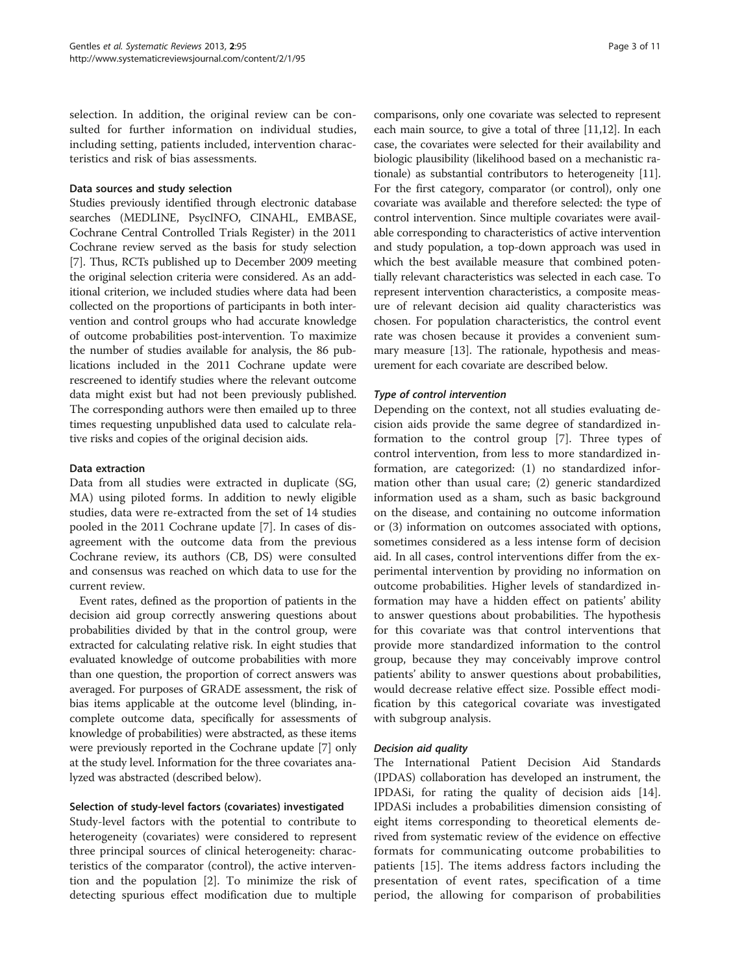selection. In addition, the original review can be consulted for further information on individual studies, including setting, patients included, intervention characteristics and risk of bias assessments.

# Data sources and study selection

Studies previously identified through electronic database searches (MEDLINE, PsycINFO, CINAHL, EMBASE, Cochrane Central Controlled Trials Register) in the 2011 Cochrane review served as the basis for study selection [[7\]](#page-9-0). Thus, RCTs published up to December 2009 meeting the original selection criteria were considered. As an additional criterion, we included studies where data had been collected on the proportions of participants in both intervention and control groups who had accurate knowledge of outcome probabilities post-intervention. To maximize the number of studies available for analysis, the 86 publications included in the 2011 Cochrane update were rescreened to identify studies where the relevant outcome data might exist but had not been previously published. The corresponding authors were then emailed up to three times requesting unpublished data used to calculate relative risks and copies of the original decision aids.

# Data extraction

Data from all studies were extracted in duplicate (SG, MA) using piloted forms. In addition to newly eligible studies, data were re-extracted from the set of 14 studies pooled in the 2011 Cochrane update [[7](#page-9-0)]. In cases of disagreement with the outcome data from the previous Cochrane review, its authors (CB, DS) were consulted and consensus was reached on which data to use for the current review.

Event rates, defined as the proportion of patients in the decision aid group correctly answering questions about probabilities divided by that in the control group, were extracted for calculating relative risk. In eight studies that evaluated knowledge of outcome probabilities with more than one question, the proportion of correct answers was averaged. For purposes of GRADE assessment, the risk of bias items applicable at the outcome level (blinding, incomplete outcome data, specifically for assessments of knowledge of probabilities) were abstracted, as these items were previously reported in the Cochrane update [\[7](#page-9-0)] only at the study level. Information for the three covariates analyzed was abstracted (described below).

# Selection of study-level factors (covariates) investigated

Study-level factors with the potential to contribute to heterogeneity (covariates) were considered to represent three principal sources of clinical heterogeneity: characteristics of the comparator (control), the active intervention and the population [[2\]](#page-9-0). To minimize the risk of detecting spurious effect modification due to multiple

comparisons, only one covariate was selected to represent each main source, to give a total of three [[11,12](#page-9-0)]. In each case, the covariates were selected for their availability and biologic plausibility (likelihood based on a mechanistic rationale) as substantial contributors to heterogeneity [[11](#page-9-0)]. For the first category, comparator (or control), only one covariate was available and therefore selected: the type of control intervention. Since multiple covariates were available corresponding to characteristics of active intervention and study population, a top-down approach was used in which the best available measure that combined potentially relevant characteristics was selected in each case. To represent intervention characteristics, a composite measure of relevant decision aid quality characteristics was chosen. For population characteristics, the control event rate was chosen because it provides a convenient summary measure [[13](#page-10-0)]. The rationale, hypothesis and measurement for each covariate are described below.

# Type of control intervention

Depending on the context, not all studies evaluating decision aids provide the same degree of standardized information to the control group [[7\]](#page-9-0). Three types of control intervention, from less to more standardized information, are categorized: (1) no standardized information other than usual care; (2) generic standardized information used as a sham, such as basic background on the disease, and containing no outcome information or (3) information on outcomes associated with options, sometimes considered as a less intense form of decision aid. In all cases, control interventions differ from the experimental intervention by providing no information on outcome probabilities. Higher levels of standardized information may have a hidden effect on patients' ability to answer questions about probabilities. The hypothesis for this covariate was that control interventions that provide more standardized information to the control group, because they may conceivably improve control patients' ability to answer questions about probabilities, would decrease relative effect size. Possible effect modification by this categorical covariate was investigated with subgroup analysis.

# Decision aid quality

The International Patient Decision Aid Standards (IPDAS) collaboration has developed an instrument, the IPDASi, for rating the quality of decision aids [\[14](#page-10-0)]. IPDASi includes a probabilities dimension consisting of eight items corresponding to theoretical elements derived from systematic review of the evidence on effective formats for communicating outcome probabilities to patients [[15\]](#page-10-0). The items address factors including the presentation of event rates, specification of a time period, the allowing for comparison of probabilities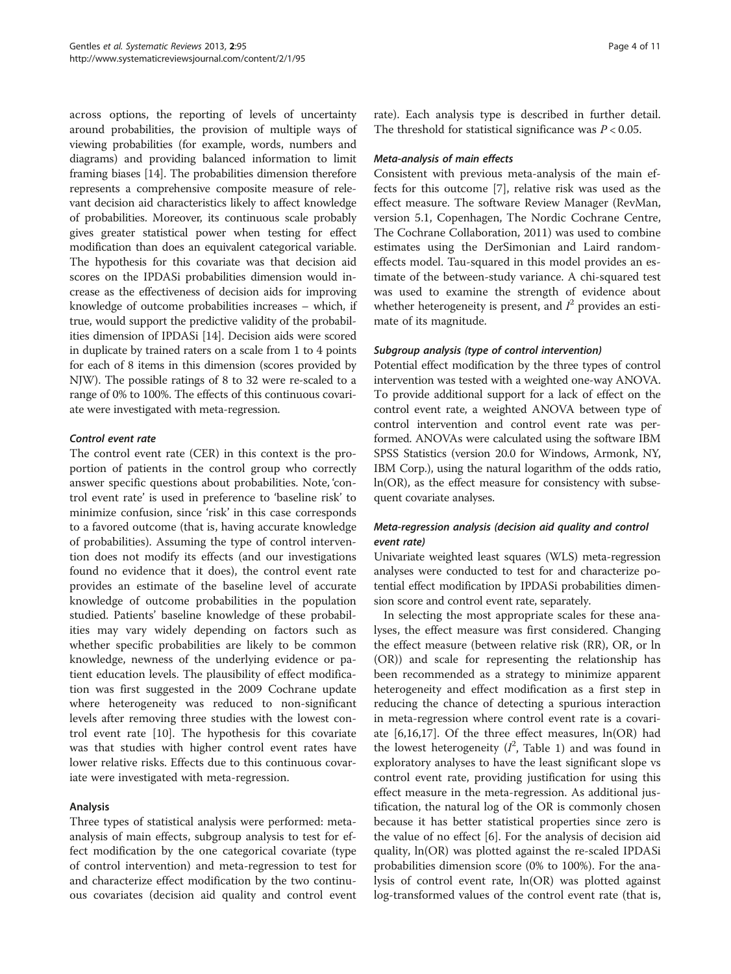across options, the reporting of levels of uncertainty around probabilities, the provision of multiple ways of viewing probabilities (for example, words, numbers and diagrams) and providing balanced information to limit framing biases [[14](#page-10-0)]. The probabilities dimension therefore represents a comprehensive composite measure of relevant decision aid characteristics likely to affect knowledge of probabilities. Moreover, its continuous scale probably gives greater statistical power when testing for effect modification than does an equivalent categorical variable. The hypothesis for this covariate was that decision aid scores on the IPDASi probabilities dimension would increase as the effectiveness of decision aids for improving knowledge of outcome probabilities increases – which, if true, would support the predictive validity of the probabilities dimension of IPDASi [[14](#page-10-0)]. Decision aids were scored in duplicate by trained raters on a scale from 1 to 4 points for each of 8 items in this dimension (scores provided by NJW). The possible ratings of 8 to 32 were re-scaled to a range of 0% to 100%. The effects of this continuous covariate were investigated with meta-regression.

# Control event rate

The control event rate (CER) in this context is the proportion of patients in the control group who correctly answer specific questions about probabilities. Note, 'control event rate' is used in preference to 'baseline risk' to minimize confusion, since 'risk' in this case corresponds to a favored outcome (that is, having accurate knowledge of probabilities). Assuming the type of control intervention does not modify its effects (and our investigations found no evidence that it does), the control event rate provides an estimate of the baseline level of accurate knowledge of outcome probabilities in the population studied. Patients' baseline knowledge of these probabilities may vary widely depending on factors such as whether specific probabilities are likely to be common knowledge, newness of the underlying evidence or patient education levels. The plausibility of effect modification was first suggested in the 2009 Cochrane update where heterogeneity was reduced to non-significant levels after removing three studies with the lowest control event rate [\[10](#page-9-0)]. The hypothesis for this covariate was that studies with higher control event rates have lower relative risks. Effects due to this continuous covariate were investigated with meta-regression.

# Analysis

Three types of statistical analysis were performed: metaanalysis of main effects, subgroup analysis to test for effect modification by the one categorical covariate (type of control intervention) and meta-regression to test for and characterize effect modification by the two continuous covariates (decision aid quality and control event

rate). Each analysis type is described in further detail. The threshold for statistical significance was  $P < 0.05$ .

#### Meta-analysis of main effects

Consistent with previous meta-analysis of the main effects for this outcome [[7\]](#page-9-0), relative risk was used as the effect measure. The software Review Manager (RevMan, version 5.1, Copenhagen, The Nordic Cochrane Centre, The Cochrane Collaboration, 2011) was used to combine estimates using the DerSimonian and Laird randomeffects model. Tau-squared in this model provides an estimate of the between-study variance. A chi-squared test was used to examine the strength of evidence about whether heterogeneity is present, and  $I^2$  provides an estimate of its magnitude.

# Subgroup analysis (type of control intervention)

Potential effect modification by the three types of control intervention was tested with a weighted one-way ANOVA. To provide additional support for a lack of effect on the control event rate, a weighted ANOVA between type of control intervention and control event rate was performed. ANOVAs were calculated using the software IBM SPSS Statistics (version 20.0 for Windows, Armonk, NY, IBM Corp.), using the natural logarithm of the odds ratio, ln(OR), as the effect measure for consistency with subsequent covariate analyses.

# Meta-regression analysis (decision aid quality and control event rate)

Univariate weighted least squares (WLS) meta-regression analyses were conducted to test for and characterize potential effect modification by IPDASi probabilities dimension score and control event rate, separately.

In selecting the most appropriate scales for these analyses, the effect measure was first considered. Changing the effect measure (between relative risk (RR), OR, or ln (OR)) and scale for representing the relationship has been recommended as a strategy to minimize apparent heterogeneity and effect modification as a first step in reducing the chance of detecting a spurious interaction in meta-regression where control event rate is a covariate [\[6](#page-9-0)[,16,17\]](#page-10-0). Of the three effect measures, ln(OR) had the lowest heterogeneity  $(I^2)$ , Table [1](#page-4-0)) and was found in exploratory analyses to have the least significant slope vs control event rate, providing justification for using this effect measure in the meta-regression. As additional justification, the natural log of the OR is commonly chosen because it has better statistical properties since zero is the value of no effect [\[6](#page-9-0)]. For the analysis of decision aid quality, ln(OR) was plotted against the re-scaled IPDASi probabilities dimension score (0% to 100%). For the analysis of control event rate, ln(OR) was plotted against log-transformed values of the control event rate (that is,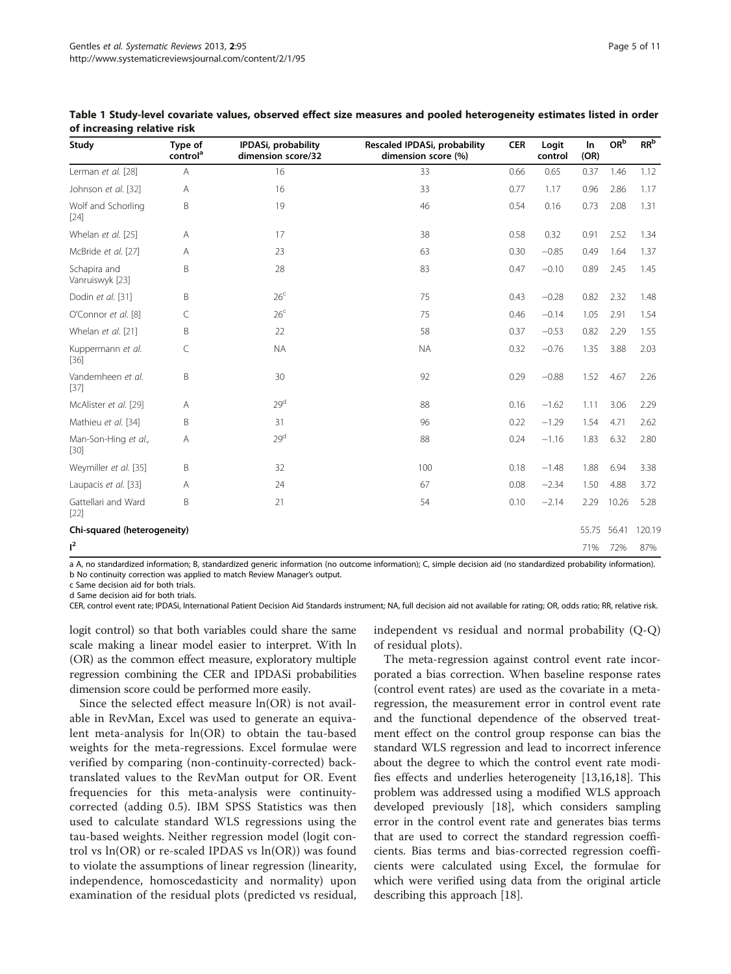| Study<br>Type of<br>control <sup>a</sup> |                | IPDASi, probability<br>dimension score/32 | Rescaled IPDASi, probability<br>dimension score (%) | <b>CER</b> | Logit<br>control | <b>In</b><br>(OR) | $\mathsf{OR}^{\mathsf{b}}$ | RR <sup>b</sup> |
|------------------------------------------|----------------|-------------------------------------------|-----------------------------------------------------|------------|------------------|-------------------|----------------------------|-----------------|
| Lerman et al. [28]                       | $\overline{A}$ | 16                                        | 33                                                  | 0.66       | 0.65             | 0.37              | 1.46                       | 1.12            |
| Johnson et al. [32]                      | A              | 16                                        | 33                                                  | 0.77       | 1.17             | 0.96              | 2.86                       | 1.17            |
| Wolf and Schorling<br>$[24]$             | B              | 19                                        | 46                                                  | 0.54       | 0.16             | 0.73              | 2.08                       | 1.31            |
| Whelan et al. [25]                       | Α              | 17                                        | 38                                                  | 0.58       | 0.32             | 0.91              | 2.52                       | 1.34            |
| McBride et al. [27]                      | A              | 23                                        | 63                                                  | 0.30       | $-0.85$          | 0.49              | 1.64                       | 1.37            |
| Schapira and<br>Vanruiswyk [23]          | B              | 28                                        | 83                                                  | 0.47       | $-0.10$          | 0.89              | 2.45                       | 1.45            |
| Dodin et al. [31]                        | B              | 26 <sup>c</sup>                           | 75                                                  | 0.43       | $-0.28$          | 0.82              | 2.32                       | 1.48            |
| O'Connor et al. [8]                      | C              | 26 <sup>c</sup>                           | 75                                                  | 0.46       | $-0.14$          | 1.05              | 2.91                       | 1.54            |
| Whelan et al. [21]                       | <sub>B</sub>   | 22                                        | 58                                                  | 0.37       | $-0.53$          | 0.82              | 2.29                       | 1.55            |
| Kuppermann et al.<br>$[36]$              | C              | <b>NA</b>                                 | <b>NA</b>                                           | 0.32       | $-0.76$          | 1.35              | 3.88                       | 2.03            |
| Vandemheen et al.<br>$[37]$              | B              | 30                                        | 92                                                  | 0.29       | $-0.88$          | 1.52              | 4.67                       | 2.26            |
| McAlister et al. [29]                    | Α              | 29 <sup>d</sup>                           | 88                                                  | 0.16       | $-1.62$          | 1.11              | 3.06                       | 2.29            |
| Mathieu et al. [34]                      | B              | 31                                        | 96                                                  | 0.22       | $-1.29$          | 1.54              | 4.71                       | 2.62            |
| Man-Son-Hing et al.,<br>$[30]$           | A              | 29 <sup>d</sup>                           | 88                                                  | 0.24       | $-1.16$          | 1.83              | 6.32                       | 2.80            |
| Weymiller et al. [35]                    | B              | 32                                        | 100                                                 | 0.18       | $-1.48$          | 1.88              | 6.94                       | 3.38            |
| Laupacis et al. [33]                     | A              | 24                                        | 67                                                  | 0.08       | $-2.34$          | 1.50              | 4.88                       | 3.72            |
| Gattellari and Ward<br>$[22]$            | B              | 21                                        | 54                                                  | 0.10       | $-2.14$          | 2.29              | 10.26                      | 5.28            |
| Chi-squared (heterogeneity)              |                |                                           |                                                     |            |                  | 55.75             | 56.41                      | 120.19          |
| $l^2$                                    |                |                                           |                                                     |            |                  | 71%               | 72%                        | 87%             |

#### <span id="page-4-0"></span>Table 1 Study-level covariate values, observed effect size measures and pooled heterogeneity estimates listed in order of increasing relative risk

a A, no standardized information; B, standardized generic information (no outcome information); C, simple decision aid (no standardized probability information). b No continuity correction was applied to match Review Manager's output.

c Same decision aid for both trials.

d Same decision aid for both trials.

CER, control event rate; IPDASi, International Patient Decision Aid Standards instrument; NA, full decision aid not available for rating; OR, odds ratio; RR, relative risk.

logit control) so that both variables could share the same scale making a linear model easier to interpret. With ln (OR) as the common effect measure, exploratory multiple regression combining the CER and IPDASi probabilities dimension score could be performed more easily.

Since the selected effect measure ln(OR) is not available in RevMan, Excel was used to generate an equivalent meta-analysis for ln(OR) to obtain the tau-based weights for the meta-regressions. Excel formulae were verified by comparing (non-continuity-corrected) backtranslated values to the RevMan output for OR. Event frequencies for this meta-analysis were continuitycorrected (adding 0.5). IBM SPSS Statistics was then used to calculate standard WLS regressions using the tau-based weights. Neither regression model (logit control vs ln(OR) or re-scaled IPDAS vs ln(OR)) was found to violate the assumptions of linear regression (linearity, independence, homoscedasticity and normality) upon examination of the residual plots (predicted vs residual, independent vs residual and normal probability (Q-Q) of residual plots).

The meta-regression against control event rate incorporated a bias correction. When baseline response rates (control event rates) are used as the covariate in a metaregression, the measurement error in control event rate and the functional dependence of the observed treatment effect on the control group response can bias the standard WLS regression and lead to incorrect inference about the degree to which the control event rate modifies effects and underlies heterogeneity [\[13,16,18\]](#page-10-0). This problem was addressed using a modified WLS approach developed previously [[18\]](#page-10-0), which considers sampling error in the control event rate and generates bias terms that are used to correct the standard regression coefficients. Bias terms and bias-corrected regression coefficients were calculated using Excel, the formulae for which were verified using data from the original article describing this approach [\[18\]](#page-10-0).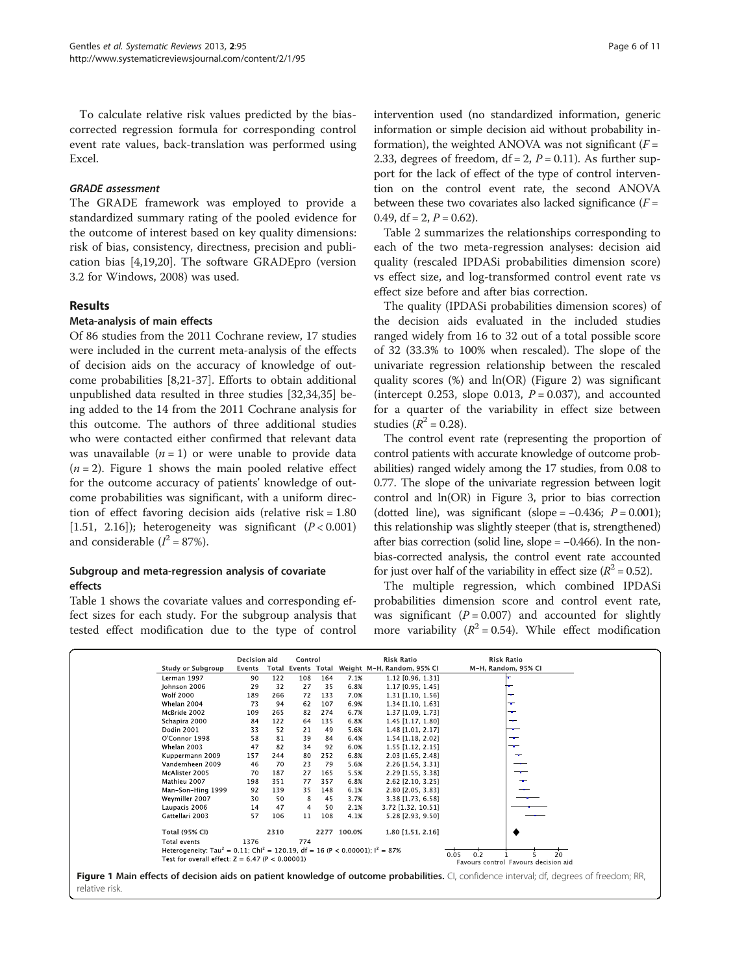To calculate relative risk values predicted by the biascorrected regression formula for corresponding control event rate values, back-translation was performed using Excel.

# GRADE assessment

The GRADE framework was employed to provide a standardized summary rating of the pooled evidence for the outcome of interest based on key quality dimensions: risk of bias, consistency, directness, precision and publication bias [\[4](#page-9-0)[,19,20](#page-10-0)]. The software GRADEpro (version 3.2 for Windows, 2008) was used.

# Results

# Meta-analysis of main effects

Of 86 studies from the 2011 Cochrane review, 17 studies were included in the current meta-analysis of the effects of decision aids on the accuracy of knowledge of outcome probabilities [\[8](#page-9-0)[,21](#page-10-0)-[37](#page-10-0)]. Efforts to obtain additional unpublished data resulted in three studies [\[32,34,35\]](#page-10-0) being added to the 14 from the 2011 Cochrane analysis for this outcome. The authors of three additional studies who were contacted either confirmed that relevant data was unavailable  $(n = 1)$  or were unable to provide data  $(n = 2)$ . Figure 1 shows the main pooled relative effect for the outcome accuracy of patients' knowledge of outcome probabilities was significant, with a uniform direction of effect favoring decision aids (relative risk = 1.80 [1.51, 2.16]); heterogeneity was significant  $(P < 0.001)$ and considerable  $(I^2 = 87\%).$ 

# Subgroup and meta-regression analysis of covariate effects

Table [1](#page-4-0) shows the covariate values and corresponding effect sizes for each study. For the subgroup analysis that tested effect modification due to the type of control intervention used (no standardized information, generic information or simple decision aid without probability information), the weighted ANOVA was not significant  $(F =$ 2.33, degrees of freedom,  $df = 2$ ,  $P = 0.11$ ). As further support for the lack of effect of the type of control intervention on the control event rate, the second ANOVA between these two covariates also lacked significance  $(F =$ 0.49,  $df = 2$ ,  $P = 0.62$ ).

Table [2](#page-6-0) summarizes the relationships corresponding to each of the two meta-regression analyses: decision aid quality (rescaled IPDASi probabilities dimension score) vs effect size, and log-transformed control event rate vs effect size before and after bias correction.

The quality (IPDASi probabilities dimension scores) of the decision aids evaluated in the included studies ranged widely from 16 to 32 out of a total possible score of 32 (33.3% to 100% when rescaled). The slope of the univariate regression relationship between the rescaled quality scores (%) and ln(OR) (Figure [2\)](#page-6-0) was significant (intercept 0.253, slope 0.013,  $P = 0.037$ ), and accounted for a quarter of the variability in effect size between studies ( $R^2 = 0.28$ ).

The control event rate (representing the proportion of control patients with accurate knowledge of outcome probabilities) ranged widely among the 17 studies, from 0.08 to 0.77. The slope of the univariate regression between logit control and ln(OR) in Figure [3,](#page-7-0) prior to bias correction (dotted line), was significant (slope =  $-0.436$ ;  $P = 0.001$ ); this relationship was slightly steeper (that is, strengthened) after bias correction (solid line, slope =  $-0.466$ ). In the nonbias-corrected analysis, the control event rate accounted for just over half of the variability in effect size  $(R^2 = 0.52)$ .

The multiple regression, which combined IPDASi probabilities dimension score and control event rate, was significant ( $P = 0.007$ ) and accounted for slightly more variability  $(R^2 = 0.54)$ . While effect modification

|                                                                                                                                                   | Decision aid                                                                                                                                                                                                                         |       | Control      |     |             | <b>Risk Ratio</b>          | <b>Risk Ratio</b>   |  |
|---------------------------------------------------------------------------------------------------------------------------------------------------|--------------------------------------------------------------------------------------------------------------------------------------------------------------------------------------------------------------------------------------|-------|--------------|-----|-------------|----------------------------|---------------------|--|
| Study or Subgroup                                                                                                                                 | Events                                                                                                                                                                                                                               | Total | Events Total |     |             | Weight M-H, Random, 95% CI | M-H, Random, 95% CI |  |
| Lerman 1997                                                                                                                                       | 90                                                                                                                                                                                                                                   |       |              | 164 | 7.1%        |                            |                     |  |
|                                                                                                                                                   |                                                                                                                                                                                                                                      | 122   | 108          |     |             | $1.12$ [0.96, 1.31]        |                     |  |
| Johnson 2006                                                                                                                                      | 29                                                                                                                                                                                                                                   | 32    | 27           | 35  | 6.8%        | 1.17 [0.95, 1.45]          |                     |  |
| Wolf 2000                                                                                                                                         | 189                                                                                                                                                                                                                                  | 266   | 72           | 133 | 7.0%        | $1.31$ [1.10, 1.56]        |                     |  |
| Whelan 2004                                                                                                                                       | 73                                                                                                                                                                                                                                   | 94    | 62           | 107 | 6.9%        | $1.34$ [1.10, 1.63]        | ÷                   |  |
| McBride 2002                                                                                                                                      | 109                                                                                                                                                                                                                                  | 265   | 82           | 274 | 6.7%        | 1.37 [1.09, 1.73]          | ÷                   |  |
| Schapira 2000                                                                                                                                     | 84                                                                                                                                                                                                                                   | 122   | 64           | 135 | 6.8%        | 1.45 [1.17, 1.80]          | ╼                   |  |
| <b>Dodin 2001</b>                                                                                                                                 | 33                                                                                                                                                                                                                                   | 52    | 21           | 49  | 5.6%        | 1.48 [1.01, 2.17]          |                     |  |
| O'Connor 1998                                                                                                                                     | 58                                                                                                                                                                                                                                   | 81    | 39           | 84  | 6.4%        | $1.54$ [1.18, 2.02]        | ╼                   |  |
| Whelan 2003                                                                                                                                       | 47                                                                                                                                                                                                                                   | 82    | 34           | 92  | 6.0%        | 1.55 [1.12, 2.15]          | ╼                   |  |
| Kuppermann 2009                                                                                                                                   | 157                                                                                                                                                                                                                                  | 244   | 80           | 252 | 6.8%        | 2.03 [1.65, 2.48]          | $-$                 |  |
| Vandemheen 2009                                                                                                                                   | 46                                                                                                                                                                                                                                   | 70    | 23           | 79  | 5.6%        | 2.26 [1.54, 3.31]          |                     |  |
| McAlister 2005                                                                                                                                    | 70                                                                                                                                                                                                                                   | 187   | 27           | 165 | 5.5%        | 2.29 [1.55, 3.38]          |                     |  |
| Mathieu 2007                                                                                                                                      | 198                                                                                                                                                                                                                                  | 351   | 77           | 357 | 6.8%        | 2.62 [2.10, 3.25]          |                     |  |
| Man-Son-Hing 1999                                                                                                                                 | 92                                                                                                                                                                                                                                   | 139   | 35           | 148 | 6.1%        | 2.80 [2.05, 3.83]          |                     |  |
| Weymiller 2007                                                                                                                                    | 30                                                                                                                                                                                                                                   | 50    | 8            | 45  | 3.7%        | 3.38 [1.73, 6.58]          |                     |  |
| Laupacis 2006                                                                                                                                     | 14                                                                                                                                                                                                                                   | 47    | 4            | 50  | 2.1%        | 3.72 [1.32, 10.51]         |                     |  |
| Gattellari 2003                                                                                                                                   | 57                                                                                                                                                                                                                                   | 106   | 11           | 108 | 4.1%        | 5.28 [2.93, 9.50]          |                     |  |
| <b>Total (95% CI)</b>                                                                                                                             |                                                                                                                                                                                                                                      | 2310  |              |     | 2277 100.0% | 1.80 [1.51, 2.16]          |                     |  |
| Total events                                                                                                                                      | 1376                                                                                                                                                                                                                                 |       | 774          |     |             |                            |                     |  |
|                                                                                                                                                   | Heterogeneity: Tau <sup>2</sup> = 0.11; Chi <sup>2</sup> = 120.19, df = 16 (P < 0.00001); $I^2 = 87\%$<br>$\frac{1}{20}$<br>0.2<br>0.05<br>Test for overall effect: $Z = 6.47$ (P < 0.00001)<br>Favours control Favours decision aid |       |              |     |             |                            |                     |  |
| <b>Figure 1 Main effects of decision aids on patient knowledge of outcome probabilities.</b> CI, confidence interval; df, degrees of freedom; RR, |                                                                                                                                                                                                                                      |       |              |     |             |                            |                     |  |

relative risk.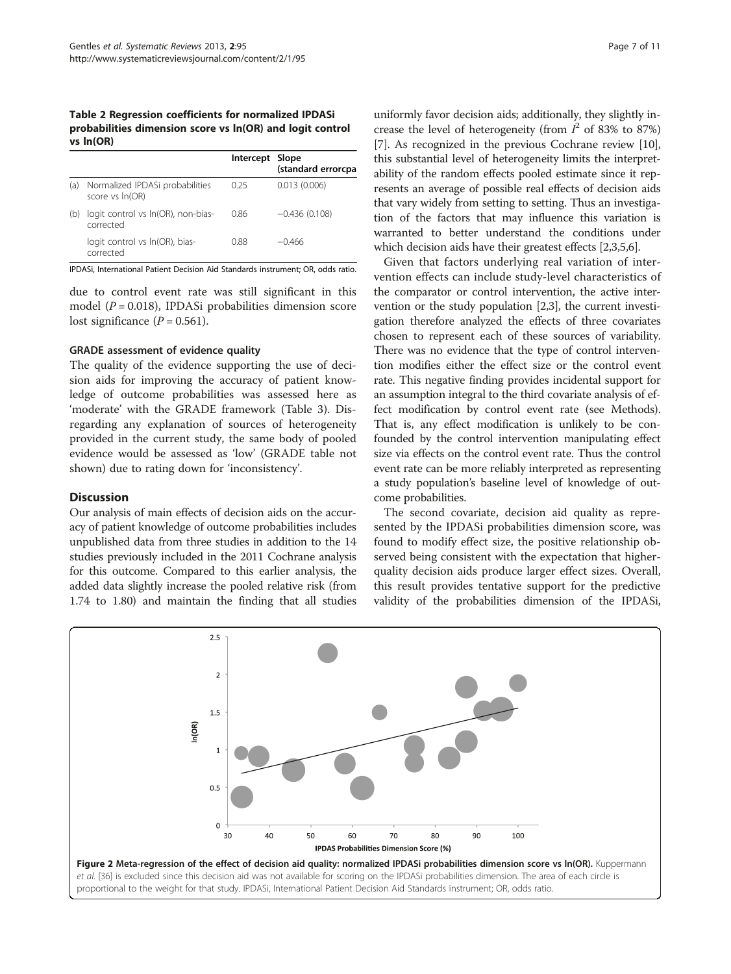<span id="page-6-0"></span>Table 2 Regression coefficients for normalized IPDASi probabilities dimension score vs ln(OR) and logit control vs ln(OR)

|     |                                                    | Intercept Slope | (standard errorcpa |
|-----|----------------------------------------------------|-----------------|--------------------|
| (a) | Normalized IPDASi probabilities<br>score vs In(OR) | 0.25            | 0.013(0.006)       |
| (b) | logit control vs In(OR), non-bias-<br>corrected    | 0.86            | $-0.436(0.108)$    |
|     | logit control vs In(OR), bias-<br>corrected        | 0.88            | $-0.466$           |

IPDASi, International Patient Decision Aid Standards instrument; OR, odds ratio.

due to control event rate was still significant in this model ( $P = 0.018$ ), IPDASi probabilities dimension score lost significance  $(P = 0.561)$ .

# GRADE assessment of evidence quality

The quality of the evidence supporting the use of decision aids for improving the accuracy of patient knowledge of outcome probabilities was assessed here as 'moderate' with the GRADE framework (Table [3\)](#page-7-0). Disregarding any explanation of sources of heterogeneity provided in the current study, the same body of pooled evidence would be assessed as 'low' (GRADE table not shown) due to rating down for 'inconsistency'.

#### **Discussion**

Our analysis of main effects of decision aids on the accuracy of patient knowledge of outcome probabilities includes unpublished data from three studies in addition to the 14 studies previously included in the 2011 Cochrane analysis for this outcome. Compared to this earlier analysis, the added data slightly increase the pooled relative risk (from 1.74 to 1.80) and maintain the finding that all studies

uniformly favor decision aids; additionally, they slightly increase the level of heterogeneity (from  $I^2$  of 83% to 87%) [[7\]](#page-9-0). As recognized in the previous Cochrane review [[10](#page-9-0)], this substantial level of heterogeneity limits the interpretability of the random effects pooled estimate since it represents an average of possible real effects of decision aids that vary widely from setting to setting. Thus an investigation of the factors that may influence this variation is warranted to better understand the conditions under which decision aids have their greatest effects [[2,3,5,6](#page-9-0)].

Given that factors underlying real variation of intervention effects can include study-level characteristics of the comparator or control intervention, the active intervention or the study population [\[2,3](#page-9-0)], the current investigation therefore analyzed the effects of three covariates chosen to represent each of these sources of variability. There was no evidence that the type of control intervention modifies either the effect size or the control event rate. This negative finding provides incidental support for an assumption integral to the third covariate analysis of effect modification by control event rate (see [Methods](#page-1-0)). That is, any effect modification is unlikely to be confounded by the control intervention manipulating effect size via effects on the control event rate. Thus the control event rate can be more reliably interpreted as representing a study population's baseline level of knowledge of outcome probabilities.

The second covariate, decision aid quality as represented by the IPDASi probabilities dimension score, was found to modify effect size, the positive relationship observed being consistent with the expectation that higherquality decision aids produce larger effect sizes. Overall, this result provides tentative support for the predictive validity of the probabilities dimension of the IPDASi,

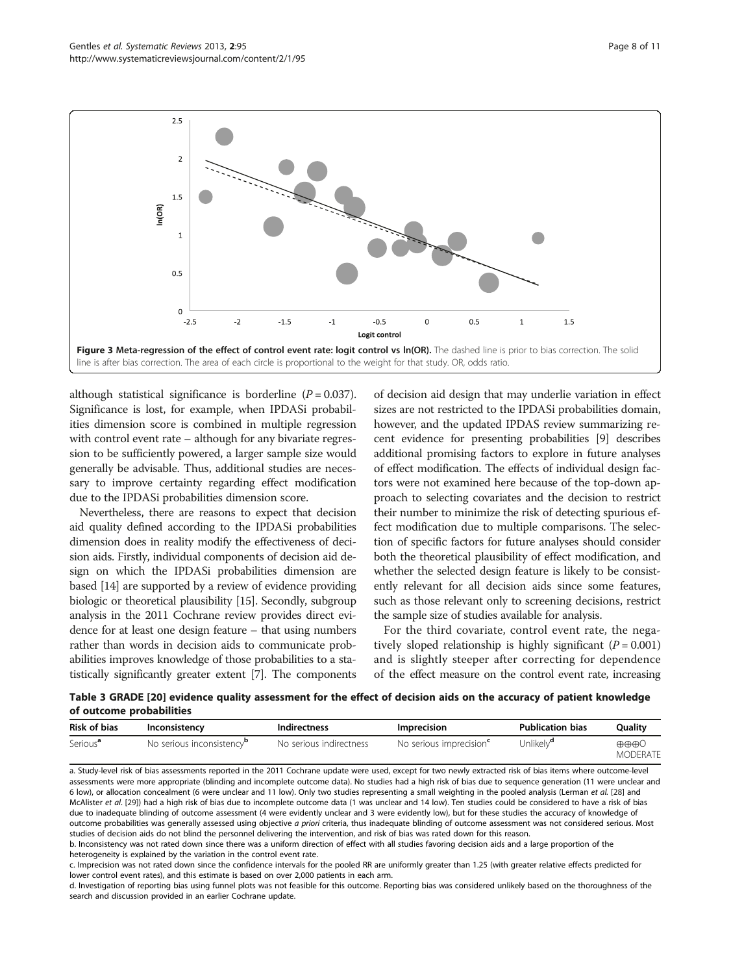<span id="page-7-0"></span>

although statistical significance is borderline  $(P = 0.037)$ . Significance is lost, for example, when IPDASi probabilities dimension score is combined in multiple regression with control event rate – although for any bivariate regression to be sufficiently powered, a larger sample size would generally be advisable. Thus, additional studies are necessary to improve certainty regarding effect modification due to the IPDASi probabilities dimension score.

Nevertheless, there are reasons to expect that decision aid quality defined according to the IPDASi probabilities dimension does in reality modify the effectiveness of decision aids. Firstly, individual components of decision aid design on which the IPDASi probabilities dimension are based [[14](#page-10-0)] are supported by a review of evidence providing biologic or theoretical plausibility [\[15\]](#page-10-0). Secondly, subgroup analysis in the 2011 Cochrane review provides direct evidence for at least one design feature – that using numbers rather than words in decision aids to communicate probabilities improves knowledge of those probabilities to a statistically significantly greater extent [\[7](#page-9-0)]. The components

of decision aid design that may underlie variation in effect sizes are not restricted to the IPDASi probabilities domain, however, and the updated IPDAS review summarizing recent evidence for presenting probabilities [[9\]](#page-9-0) describes additional promising factors to explore in future analyses of effect modification. The effects of individual design factors were not examined here because of the top-down approach to selecting covariates and the decision to restrict their number to minimize the risk of detecting spurious effect modification due to multiple comparisons. The selection of specific factors for future analyses should consider both the theoretical plausibility of effect modification, and whether the selected design feature is likely to be consistently relevant for all decision aids since some features, such as those relevant only to screening decisions, restrict the sample size of studies available for analysis.

For the third covariate, control event rate, the negatively sloped relationship is highly significant ( $P = 0.001$ ) and is slightly steeper after correcting for dependence of the effect measure on the control event rate, increasing

Table 3 GRADE [[20\]](#page-10-0) evidence quality assessment for the effect of decision aids on the accuracy of patient knowledge of outcome probabilities

| <b>Risk of bias</b>  | Inconsistency                         | <b>Indirectness</b>     | <b>Imprecision</b>                  | <b>Publication bias</b> | <b>Ouality</b>                                  |
|----------------------|---------------------------------------|-------------------------|-------------------------------------|-------------------------|-------------------------------------------------|
| Serious <sup>a</sup> | No serious inconsistency <sup>p</sup> | No serious indirectness | No serious imprecision <sup>c</sup> | Unlikely <sup>a</sup>   | $\oplus \oplus \oplus \circ$<br><b>MODERATE</b> |

a. Study-level risk of bias assessments reported in the 2011 Cochrane update were used, except for two newly extracted risk of bias items where outcome-level assessments were more appropriate (blinding and incomplete outcome data). No studies had a high risk of bias due to sequence generation (11 were unclear and 6 low), or allocation concealment (6 were unclear and 11 low). Only two studies representing a small weighting in the pooled analysis (Lerman et al. [[28](#page-10-0)] and McAlister et al. [[29](#page-10-0)]) had a high risk of bias due to incomplete outcome data (1 was unclear and 14 low). Ten studies could be considered to have a risk of bias due to inadequate blinding of outcome assessment (4 were evidently unclear and 3 were evidently low), but for these studies the accuracy of knowledge of outcome probabilities was generally assessed using objective a priori criteria, thus inadequate blinding of outcome assessment was not considered serious. Most studies of decision aids do not blind the personnel delivering the intervention, and risk of bias was rated down for this reason.

b. Inconsistency was not rated down since there was a uniform direction of effect with all studies favoring decision aids and a large proportion of the heterogeneity is explained by the variation in the control event rate.

c. Imprecision was not rated down since the confidence intervals for the pooled RR are uniformly greater than 1.25 (with greater relative effects predicted for lower control event rates), and this estimate is based on over 2,000 patients in each arm.

d. Investigation of reporting bias using funnel plots was not feasible for this outcome. Reporting bias was considered unlikely based on the thoroughness of the search and discussion provided in an earlier Cochrane update.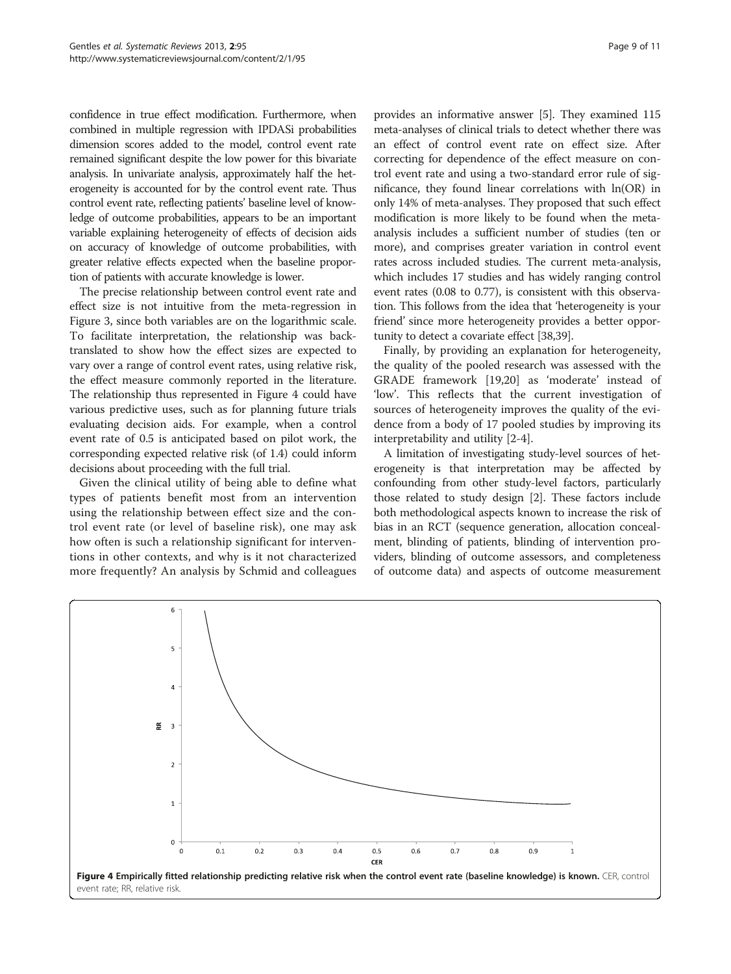confidence in true effect modification. Furthermore, when combined in multiple regression with IPDASi probabilities dimension scores added to the model, control event rate remained significant despite the low power for this bivariate analysis. In univariate analysis, approximately half the heterogeneity is accounted for by the control event rate. Thus control event rate, reflecting patients' baseline level of knowledge of outcome probabilities, appears to be an important variable explaining heterogeneity of effects of decision aids on accuracy of knowledge of outcome probabilities, with greater relative effects expected when the baseline proportion of patients with accurate knowledge is lower.

The precise relationship between control event rate and effect size is not intuitive from the meta-regression in Figure [3,](#page-7-0) since both variables are on the logarithmic scale. To facilitate interpretation, the relationship was backtranslated to show how the effect sizes are expected to vary over a range of control event rates, using relative risk, the effect measure commonly reported in the literature. The relationship thus represented in Figure 4 could have various predictive uses, such as for planning future trials evaluating decision aids. For example, when a control event rate of 0.5 is anticipated based on pilot work, the corresponding expected relative risk (of 1.4) could inform decisions about proceeding with the full trial.

Given the clinical utility of being able to define what types of patients benefit most from an intervention using the relationship between effect size and the control event rate (or level of baseline risk), one may ask how often is such a relationship significant for interventions in other contexts, and why is it not characterized more frequently? An analysis by Schmid and colleagues

provides an informative answer [\[5](#page-9-0)]. They examined 115 meta-analyses of clinical trials to detect whether there was an effect of control event rate on effect size. After correcting for dependence of the effect measure on control event rate and using a two-standard error rule of significance, they found linear correlations with ln(OR) in only 14% of meta-analyses. They proposed that such effect modification is more likely to be found when the metaanalysis includes a sufficient number of studies (ten or more), and comprises greater variation in control event rates across included studies. The current meta-analysis, which includes 17 studies and has widely ranging control event rates (0.08 to 0.77), is consistent with this observation. This follows from the idea that 'heterogeneity is your

tunity to detect a covariate effect [\[38,39](#page-10-0)]. Finally, by providing an explanation for heterogeneity, the quality of the pooled research was assessed with the GRADE framework [[19,20\]](#page-10-0) as 'moderate' instead of 'low'. This reflects that the current investigation of sources of heterogeneity improves the quality of the evidence from a body of 17 pooled studies by improving its interpretability and utility [[2-4](#page-9-0)].

friend' since more heterogeneity provides a better oppor-

A limitation of investigating study-level sources of heterogeneity is that interpretation may be affected by confounding from other study-level factors, particularly those related to study design [[2](#page-9-0)]. These factors include both methodological aspects known to increase the risk of bias in an RCT (sequence generation, allocation concealment, blinding of patients, blinding of intervention providers, blinding of outcome assessors, and completeness of outcome data) and aspects of outcome measurement

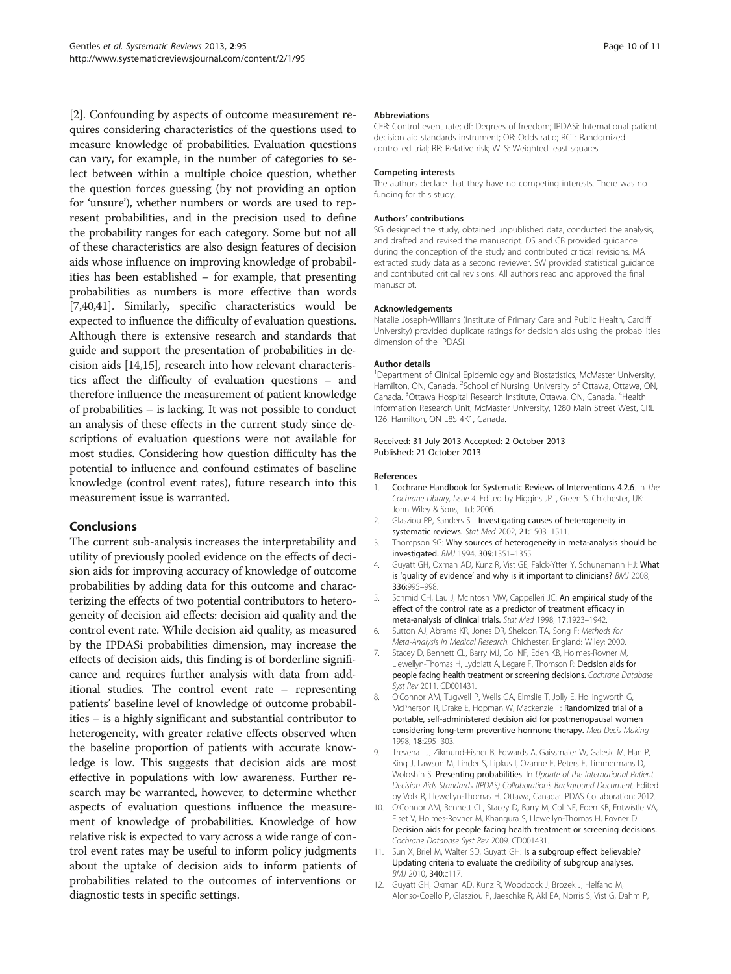<span id="page-9-0"></span>[2]. Confounding by aspects of outcome measurement requires considering characteristics of the questions used to measure knowledge of probabilities. Evaluation questions can vary, for example, in the number of categories to select between within a multiple choice question, whether the question forces guessing (by not providing an option for 'unsure'), whether numbers or words are used to represent probabilities, and in the precision used to define the probability ranges for each category. Some but not all of these characteristics are also design features of decision aids whose influence on improving knowledge of probabilities has been established – for example, that presenting probabilities as numbers is more effective than words [7,[40,41\]](#page-10-0). Similarly, specific characteristics would be expected to influence the difficulty of evaluation questions. Although there is extensive research and standards that guide and support the presentation of probabilities in decision aids [[14,15\]](#page-10-0), research into how relevant characteristics affect the difficulty of evaluation questions – and therefore influence the measurement of patient knowledge of probabilities – is lacking. It was not possible to conduct an analysis of these effects in the current study since descriptions of evaluation questions were not available for most studies. Considering how question difficulty has the potential to influence and confound estimates of baseline knowledge (control event rates), future research into this measurement issue is warranted.

# Conclusions

The current sub-analysis increases the interpretability and utility of previously pooled evidence on the effects of decision aids for improving accuracy of knowledge of outcome probabilities by adding data for this outcome and characterizing the effects of two potential contributors to heterogeneity of decision aid effects: decision aid quality and the control event rate. While decision aid quality, as measured by the IPDASi probabilities dimension, may increase the effects of decision aids, this finding is of borderline significance and requires further analysis with data from additional studies. The control event rate – representing patients' baseline level of knowledge of outcome probabilities – is a highly significant and substantial contributor to heterogeneity, with greater relative effects observed when the baseline proportion of patients with accurate knowledge is low. This suggests that decision aids are most effective in populations with low awareness. Further research may be warranted, however, to determine whether aspects of evaluation questions influence the measurement of knowledge of probabilities. Knowledge of how relative risk is expected to vary across a wide range of control event rates may be useful to inform policy judgments about the uptake of decision aids to inform patients of probabilities related to the outcomes of interventions or diagnostic tests in specific settings.

#### **Abbreviations**

CER: Control event rate; df: Degrees of freedom; IPDASi: International patient decision aid standards instrument; OR: Odds ratio; RCT: Randomized controlled trial; RR: Relative risk; WLS: Weighted least squares.

#### Competing interests

The authors declare that they have no competing interests. There was no funding for this study.

#### Authors' contributions

SG designed the study, obtained unpublished data, conducted the analysis, and drafted and revised the manuscript. DS and CB provided guidance during the conception of the study and contributed critical revisions. MA extracted study data as a second reviewer. SW provided statistical guidance and contributed critical revisions. All authors read and approved the final manuscript.

#### Acknowledgements

Natalie Joseph-Williams (Institute of Primary Care and Public Health, Cardiff University) provided duplicate ratings for decision aids using the probabilities dimension of the IPDASi.

#### Author details

<sup>1</sup>Department of Clinical Epidemiology and Biostatistics, McMaster University Hamilton, ON, Canada. <sup>2</sup>School of Nursing, University of Ottawa, Ottawa, ON, Canada. <sup>3</sup>Ottawa Hospital Research Institute, Ottawa, ON, Canada. <sup>4</sup>Health Information Research Unit, McMaster University, 1280 Main Street West, CRL 126, Hamilton, ON L8S 4K1, Canada.

#### Received: 31 July 2013 Accepted: 2 October 2013 Published: 21 October 2013

#### References

- 1. Cochrane Handbook for Systematic Reviews of Interventions 4.2.6. In The Cochrane Library, Issue 4. Edited by Higgins JPT, Green S. Chichester, UK: John Wiley & Sons, Ltd; 2006.
- 2. Glasziou PP, Sanders SL: Investigating causes of heterogeneity in systematic reviews. Stat Med 2002, 21:1503–1511.
- 3. Thompson SG: Why sources of heterogeneity in meta-analysis should be investigated. BMJ 1994, 309:1351–1355.
- 4. Guyatt GH, Oxman AD, Kunz R, Vist GE, Falck-Ytter Y, Schunemann HJ: What is 'quality of evidence' and why is it important to clinicians? BMJ 2008, 336:995–998.
- 5. Schmid CH, Lau J, McIntosh MW, Cappelleri JC: An empirical study of the effect of the control rate as a predictor of treatment efficacy in meta-analysis of clinical trials. Stat Med 1998, 17:1923–1942.
- 6. Sutton AJ, Abrams KR, Jones DR, Sheldon TA, Song F: Methods for Meta-Analysis in Medical Research. Chichester, England: Wiley; 2000.
- 7. Stacey D, Bennett CL, Barry MJ, Col NF, Eden KB, Holmes-Rovner M, Llewellyn-Thomas H, Lyddiatt A, Legare F, Thomson R: Decision aids for people facing health treatment or screening decisions. Cochrane Database Syst Rev 2011. CD001431.
- 8. O'Connor AM, Tugwell P, Wells GA, Elmslie T, Jolly E, Hollingworth G, McPherson R, Drake E, Hopman W, Mackenzie T: Randomized trial of a portable, self-administered decision aid for postmenopausal women considering long-term preventive hormone therapy. Med Decis Making 1998, 18:295–303.
- 9. Trevena LJ, Zikmund-Fisher B, Edwards A, Gaissmaier W, Galesic M, Han P, King J, Lawson M, Linder S, Lipkus I, Ozanne E, Peters E, Timmermans D, Woloshin S: Presenting probabilities. In Update of the International Patient Decision Aids Standards (IPDAS) Collaboration's Background Document. Edited by Volk R, Llewellyn-Thomas H. Ottawa, Canada: IPDAS Collaboration; 2012.
- 10. O'Connor AM, Bennett CL, Stacey D, Barry M, Col NF, Eden KB, Entwistle VA, Fiset V, Holmes-Rovner M, Khangura S, Llewellyn-Thomas H, Rovner D: Decision aids for people facing health treatment or screening decisions. Cochrane Database Syst Rev 2009. CD001431.
- 11. Sun X, Briel M, Walter SD, Guyatt GH: Is a subgroup effect believable? Updating criteria to evaluate the credibility of subgroup analyses. BMJ 2010, 340:c117.
- 12. Guyatt GH, Oxman AD, Kunz R, Woodcock J, Brozek J, Helfand M, Alonso-Coello P, Glasziou P, Jaeschke R, Akl EA, Norris S, Vist G, Dahm P,